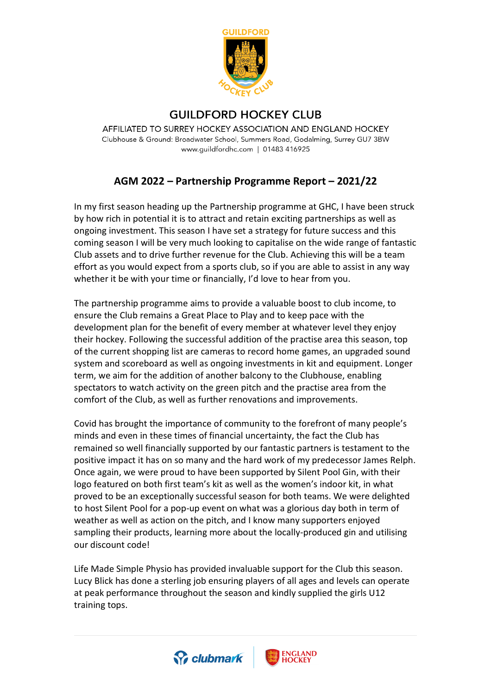

## **GUILDFORD HOCKEY CLUB**

AFFILIATED TO SURREY HOCKEY ASSOCIATION AND ENGLAND HOCKEY Clubhouse & Ground: Broadwater School, Summers Road, Godalming, Surrey GU7 3BW www.guildfordhc.com | 01483 416925

## **AGM 2022 – Partnership Programme Report – 2021/22**

In my first season heading up the Partnership programme at GHC, I have been struck by how rich in potential it is to attract and retain exciting partnerships as well as ongoing investment. This season I have set a strategy for future success and this coming season I will be very much looking to capitalise on the wide range of fantastic Club assets and to drive further revenue for the Club. Achieving this will be a team effort as you would expect from a sports club, so if you are able to assist in any way whether it be with your time or financially, I'd love to hear from you.

The partnership programme aims to provide a valuable boost to club income, to ensure the Club remains a Great Place to Play and to keep pace with the development plan for the benefit of every member at whatever level they enjoy their hockey. Following the successful addition of the practise area this season, top of the current shopping list are cameras to record home games, an upgraded sound system and scoreboard as well as ongoing investments in kit and equipment. Longer term, we aim for the addition of another balcony to the Clubhouse, enabling spectators to watch activity on the green pitch and the practise area from the comfort of the Club, as well as further renovations and improvements.

Covid has brought the importance of community to the forefront of many people's minds and even in these times of financial uncertainty, the fact the Club has remained so well financially supported by our fantastic partners is testament to the positive impact it has on so many and the hard work of my predecessor James Relph. Once again, we were proud to have been supported by Silent Pool Gin, with their logo featured on both first team's kit as well as the women's indoor kit, in what proved to be an exceptionally successful season for both teams. We were delighted to host Silent Pool for a pop-up event on what was a glorious day both in term of weather as well as action on the pitch, and I know many supporters enjoyed sampling their products, learning more about the locally-produced gin and utilising our discount code!

Life Made Simple Physio has provided invaluable support for the Club this season. Lucy Blick has done a sterling job ensuring players of all ages and levels can operate at peak performance throughout the season and kindly supplied the girls U12 training tops.